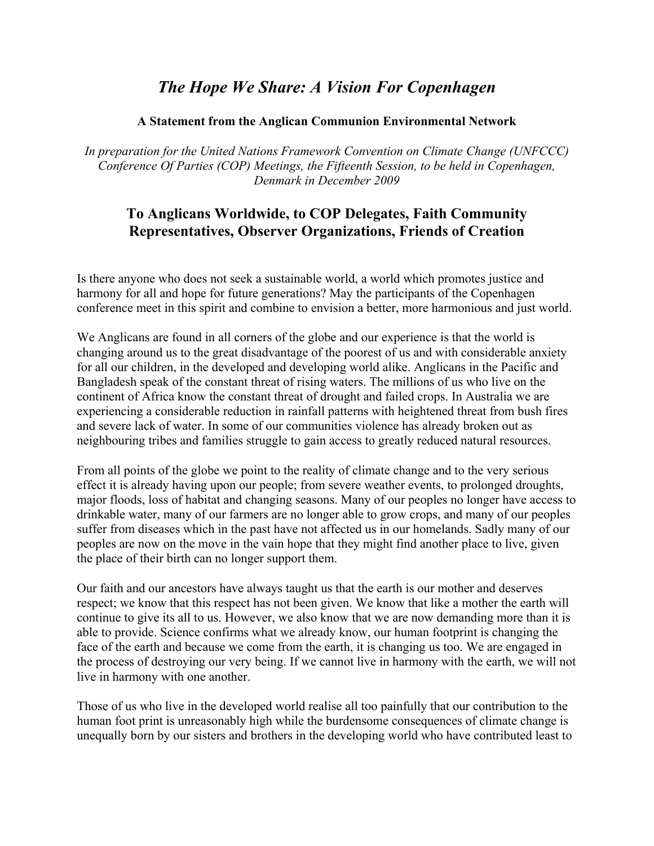# *The Hope We Share: A Vision For Copenhagen*

### **A Statement from the Anglican Communion Environmental Network**

*In preparation for the United Nations Framework Convention on Climate Change (UNFCCC) Conference Of Parties (COP) Meetings, the Fifteenth Session, to be held in Copenhagen, Denmark in December 2009*

## **To Anglicans Worldwide, to COP Delegates, Faith Community Representatives, Observer Organizations, Friends of Creation**

Is there anyone who does not seek a sustainable world, a world which promotes justice and harmony for all and hope for future generations? May the participants of the Copenhagen conference meet in this spirit and combine to envision a better, more harmonious and just world.

We Anglicans are found in all corners of the globe and our experience is that the world is changing around us to the great disadvantage of the poorest of us and with considerable anxiety for all our children, in the developed and developing world alike. Anglicans in the Pacific and Bangladesh speak of the constant threat of rising waters. The millions of us who live on the continent of Africa know the constant threat of drought and failed crops. In Australia we are experiencing a considerable reduction in rainfall patterns with heightened threat from bush fires and severe lack of water. In some of our communities violence has already broken out as neighbouring tribes and families struggle to gain access to greatly reduced natural resources.

From all points of the globe we point to the reality of climate change and to the very serious effect it is already having upon our people; from severe weather events, to prolonged droughts, major floods, loss of habitat and changing seasons. Many of our peoples no longer have access to drinkable water, many of our farmers are no longer able to grow crops, and many of our peoples suffer from diseases which in the past have not affected us in our homelands. Sadly many of our peoples are now on the move in the vain hope that they might find another place to live, given the place of their birth can no longer support them.

Our faith and our ancestors have always taught us that the earth is our mother and deserves respect; we know that this respect has not been given. We know that like a mother the earth will continue to give its all to us. However, we also know that we are now demanding more than it is able to provide. Science confirms what we already know, our human footprint is changing the face of the earth and because we come from the earth, it is changing us too. We are engaged in the process of destroying our very being. If we cannot live in harmony with the earth, we will not live in harmony with one another.

Those of us who live in the developed world realise all too painfully that our contribution to the human foot print is unreasonably high while the burdensome consequences of climate change is unequally born by our sisters and brothers in the developing world who have contributed least to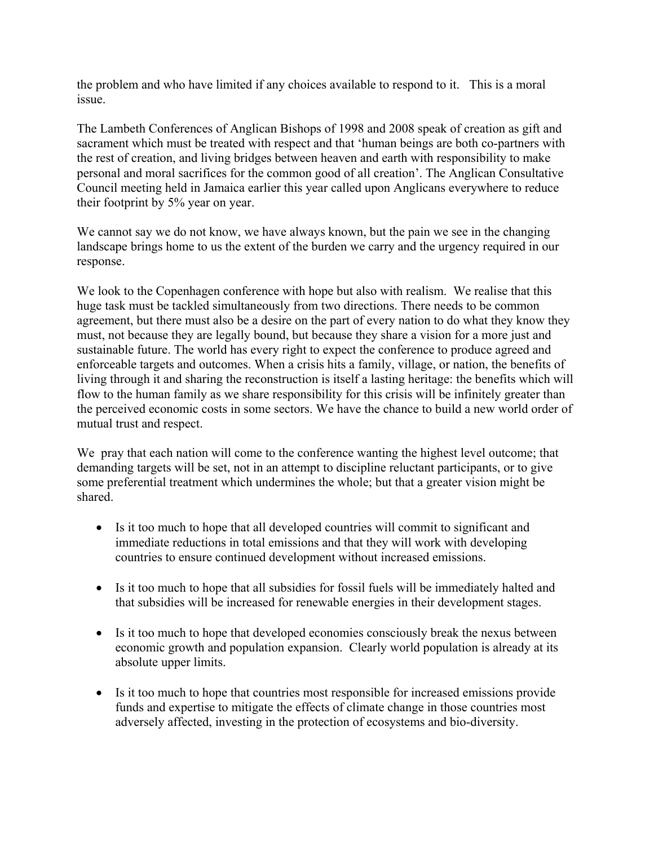the problem and who have limited if any choices available to respond to it. This is a moral issue.

The Lambeth Conferences of Anglican Bishops of 1998 and 2008 speak of creation as gift and sacrament which must be treated with respect and that 'human beings are both co-partners with the rest of creation, and living bridges between heaven and earth with responsibility to make personal and moral sacrifices for the common good of all creation'. The Anglican Consultative Council meeting held in Jamaica earlier this year called upon Anglicans everywhere to reduce their footprint by 5% year on year.

We cannot say we do not know, we have always known, but the pain we see in the changing landscape brings home to us the extent of the burden we carry and the urgency required in our response.

We look to the Copenhagen conference with hope but also with realism. We realise that this huge task must be tackled simultaneously from two directions. There needs to be common agreement, but there must also be a desire on the part of every nation to do what they know they must, not because they are legally bound, but because they share a vision for a more just and sustainable future. The world has every right to expect the conference to produce agreed and enforceable targets and outcomes. When a crisis hits a family, village, or nation, the benefits of living through it and sharing the reconstruction is itself a lasting heritage: the benefits which will flow to the human family as we share responsibility for this crisis will be infinitely greater than the perceived economic costs in some sectors. We have the chance to build a new world order of mutual trust and respect.

We pray that each nation will come to the conference wanting the highest level outcome; that demanding targets will be set, not in an attempt to discipline reluctant participants, or to give some preferential treatment which undermines the whole; but that a greater vision might be shared.

- Is it too much to hope that all developed countries will commit to significant and immediate reductions in total emissions and that they will work with developing countries to ensure continued development without increased emissions.
- Is it too much to hope that all subsidies for fossil fuels will be immediately halted and that subsidies will be increased for renewable energies in their development stages.
- Is it too much to hope that developed economies consciously break the nexus between economic growth and population expansion. Clearly world population is already at its absolute upper limits.
- Is it too much to hope that countries most responsible for increased emissions provide funds and expertise to mitigate the effects of climate change in those countries most adversely affected, investing in the protection of ecosystems and bio-diversity.